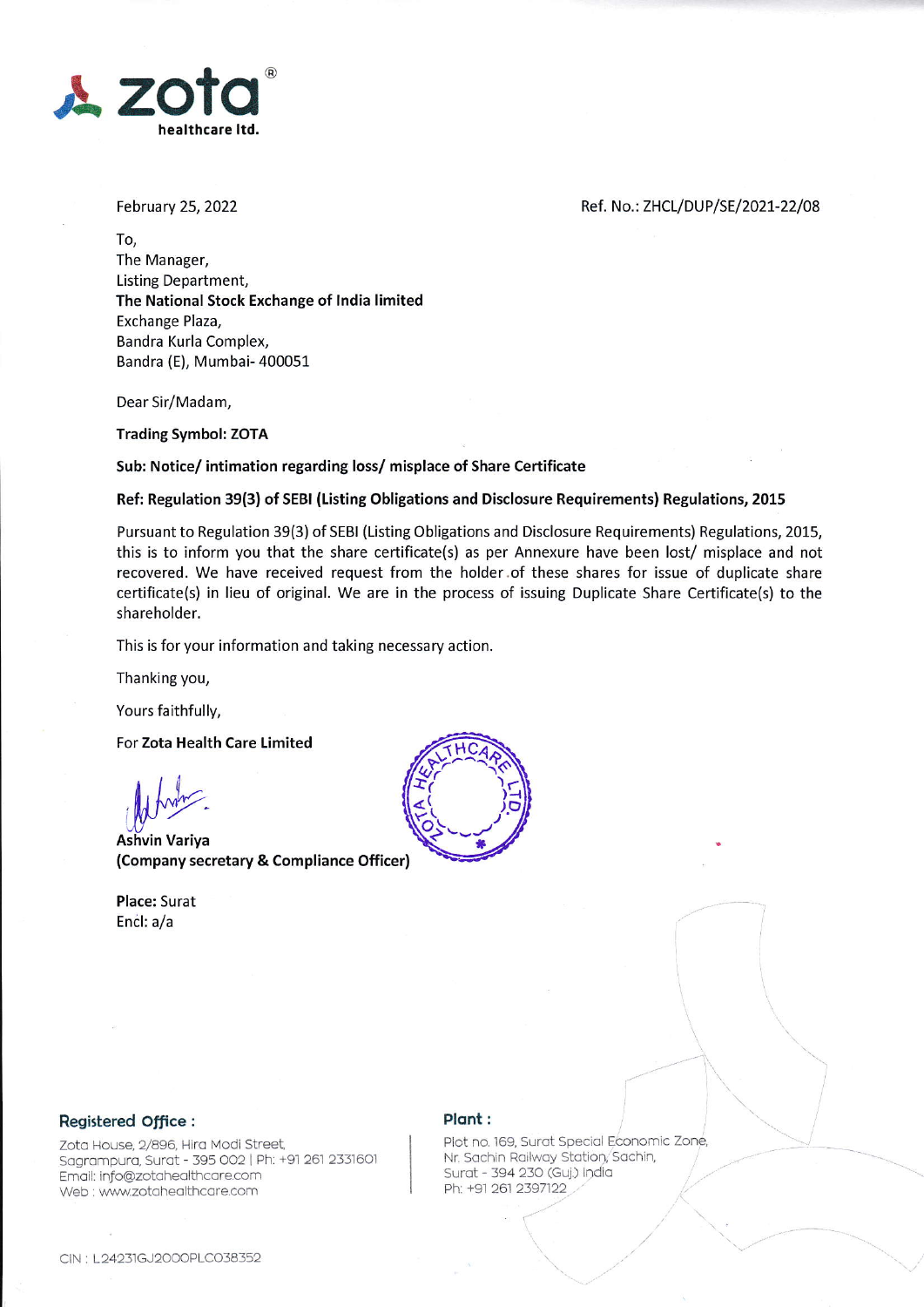

February 25, 2022

Ref. No.: ZHCL/DUP/SE/2021-22/08

To, The Manager, Listing Department, The National Stock Exchange of lndia limited Exchange Plaza, Bandra Kurla Complex, Bandra (E), Mumbai- 400051

Dear Sir/Madam,

Trading Symbol: ZOTA

#### 5ub: Notice/ intimation regarding loss/ misplace of Share Certificate

## Ref: Regulation 39(3) of SEBI (Listing Obligations and Disclosure Requirements) Regulations, 2015

Pursuant to Regulation 39(3) of SEBI (Listing Obligations and Disclosure Requirements) Regulations, 2015, this is to inform you that the share certificate(s) as per Annexure have been lost/ misplace and not recovered. We have received request from the holder.of these shares for issue of duplicate share certificate(s) in lieu of original. We are in the process of issuing Duplicate Share Certificate(s) to the shareholder.

This is for your information and taking necessary action.

Thanking you,

Yours faithfully,

For Zota Health Care Limited

 $\iint_M$  $\mathbb{W}^{\cup}$ 

Ashvin Variya (Company secretary & Compliance Officer)

Place: Surat Encl: a/a



## Registered Office :

zoto House, 2/896, Hirq Modi Street Sagrampura, Surat - 395 002 | Ph: +91 261 2331601 Emoil: info@zotoheolthcore.com Web : www.zotahealthcare.com

#### Plant :

Plot no. 169, Surot Special Economic Zone, Nr. Sachin Railway Station, Sachin, Surat - 394 230 (Guj.) India Ph: +91 261 2397122

it.